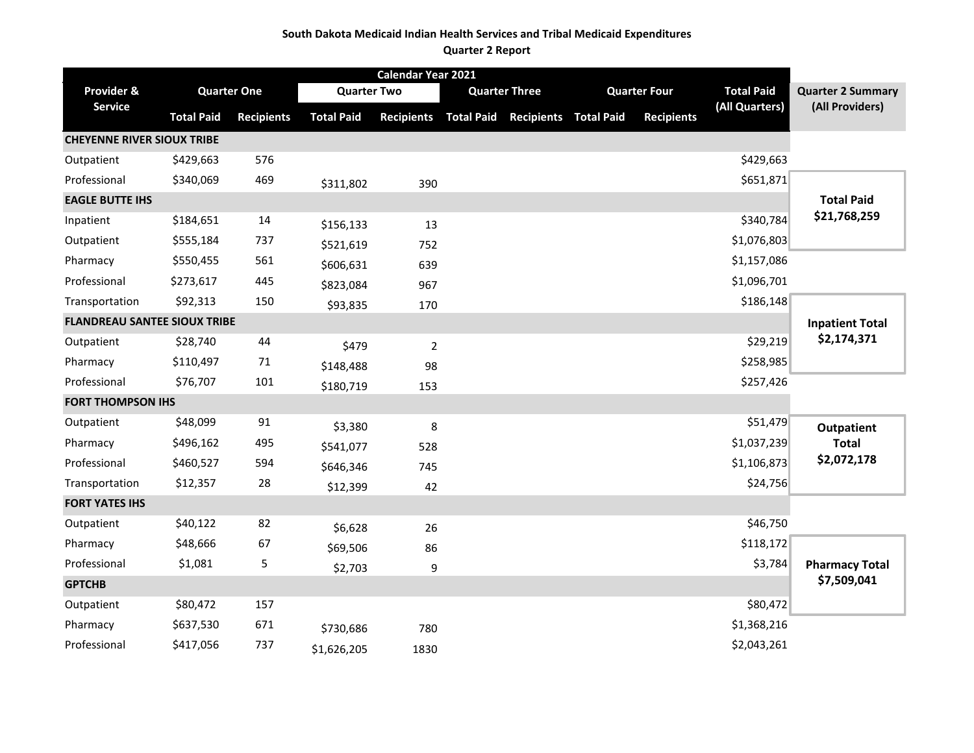#### **South Dakota Medicaid Indian Health Services and Tribal Medicaid Expenditures**

#### **Quarter 2 Report**

|                                     |                   |                    |                    | Calendar Year 2021 |                   |                              |                     |                   |                          |
|-------------------------------------|-------------------|--------------------|--------------------|--------------------|-------------------|------------------------------|---------------------|-------------------|--------------------------|
| Provider &                          |                   | <b>Quarter One</b> | <b>Quarter Two</b> |                    |                   | <b>Quarter Three</b>         | <b>Quarter Four</b> | <b>Total Paid</b> | <b>Quarter 2 Summary</b> |
| <b>Service</b>                      | <b>Total Paid</b> | <b>Recipients</b>  | <b>Total Paid</b>  | <b>Recipients</b>  | <b>Total Paid</b> | <b>Recipients Total Paid</b> | <b>Recipients</b>   | (All Quarters)    | (All Providers)          |
| <b>CHEYENNE RIVER SIOUX TRIBE</b>   |                   |                    |                    |                    |                   |                              |                     |                   |                          |
| Outpatient                          | \$429,663         | 576                |                    |                    |                   |                              |                     | \$429,663         |                          |
| Professional                        | \$340,069         | 469                | \$311,802          | 390                |                   |                              |                     | \$651,871         |                          |
| <b>EAGLE BUTTE IHS</b>              |                   |                    |                    |                    |                   |                              |                     |                   | <b>Total Paid</b>        |
| Inpatient                           | \$184,651         | 14                 | \$156,133          | 13                 |                   |                              |                     | \$340,784         | \$21,768,259             |
| Outpatient                          | \$555,184         | 737                | \$521,619          | 752                |                   |                              |                     | \$1,076,803       |                          |
| Pharmacy                            | \$550,455         | 561                | \$606,631          | 639                |                   |                              |                     | \$1,157,086       |                          |
| Professional                        | \$273,617         | 445                | \$823,084          | 967                |                   |                              |                     | \$1,096,701       |                          |
| Transportation                      | \$92,313          | 150                | \$93,835           | 170                |                   |                              |                     | \$186,148         |                          |
| <b>FLANDREAU SANTEE SIOUX TRIBE</b> |                   |                    |                    |                    |                   |                              |                     |                   | <b>Inpatient Total</b>   |
| Outpatient                          | \$28,740          | 44                 | \$479              | $\overline{2}$     |                   |                              |                     | \$29,219          | \$2,174,371              |
| Pharmacy                            | \$110,497         | 71                 | \$148,488          | 98                 |                   |                              |                     | \$258,985         |                          |
| Professional                        | \$76,707          | 101                | \$180,719          | 153                |                   |                              |                     | \$257,426         |                          |
| <b>FORT THOMPSON IHS</b>            |                   |                    |                    |                    |                   |                              |                     |                   |                          |
| Outpatient                          | \$48,099          | 91                 | \$3,380            | 8                  |                   |                              |                     | \$51,479          | <b>Outpatient</b>        |
| Pharmacy                            | \$496,162         | 495                | \$541,077          | 528                |                   |                              |                     | \$1,037,239       | <b>Total</b>             |
| Professional                        | \$460,527         | 594                | \$646,346          | 745                |                   |                              |                     | \$1,106,873       | \$2,072,178              |
| Transportation                      | \$12,357          | 28                 | \$12,399           | 42                 |                   |                              |                     | \$24,756          |                          |
| <b>FORT YATES IHS</b>               |                   |                    |                    |                    |                   |                              |                     |                   |                          |
| Outpatient                          | \$40,122          | 82                 | \$6,628            | 26                 |                   |                              |                     | \$46,750          |                          |
| Pharmacy                            | \$48,666          | 67                 | \$69,506           | 86                 |                   |                              |                     | \$118,172         |                          |
| Professional                        | \$1,081           | 5                  | \$2,703            | 9                  |                   |                              |                     | \$3,784           | <b>Pharmacy Total</b>    |
| <b>GPTCHB</b>                       |                   |                    |                    |                    |                   |                              |                     |                   | \$7,509,041              |
| Outpatient                          | \$80,472          | 157                |                    |                    |                   |                              |                     | \$80,472          |                          |
| Pharmacy                            | \$637,530         | 671                | \$730,686          | 780                |                   |                              |                     | \$1,368,216       |                          |
| Professional                        | \$417,056         | 737                | \$1,626,205        | 1830               |                   |                              |                     | \$2,043,261       |                          |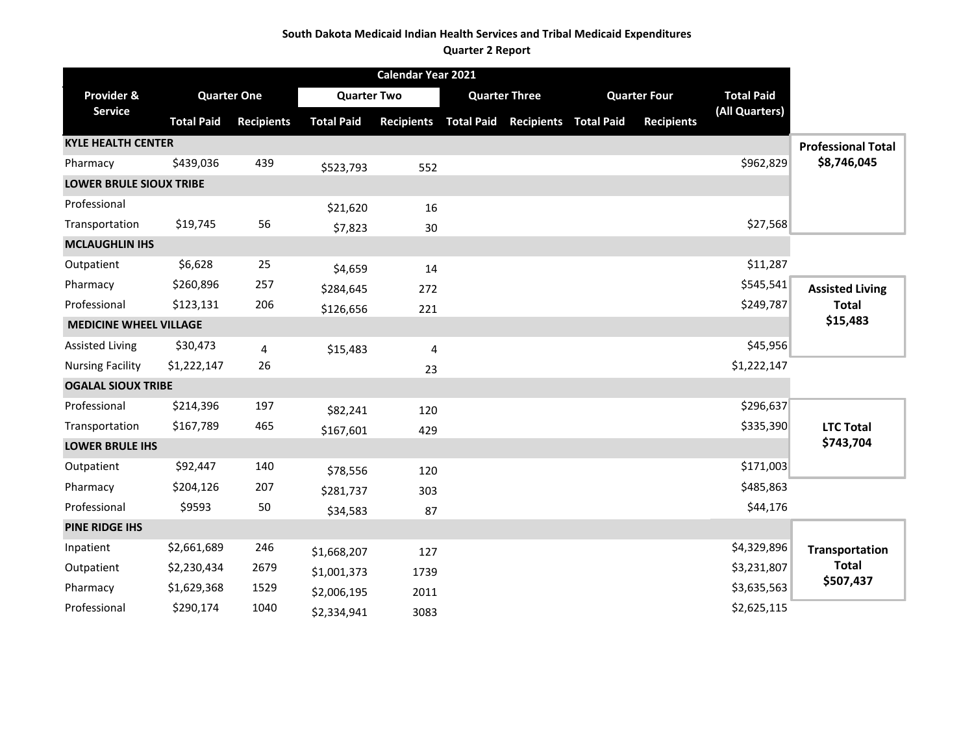### **South Dakota Medicaid Indian Health Services and Tribal Medicaid Expenditures**

#### **Quarter 2 Report**

|                                |                   |                    |                    | Calendar Year 2021 |                                             |                     |                   |                           |
|--------------------------------|-------------------|--------------------|--------------------|--------------------|---------------------------------------------|---------------------|-------------------|---------------------------|
| Provider &                     |                   | <b>Quarter One</b> | <b>Quarter Two</b> |                    | <b>Quarter Three</b>                        | <b>Quarter Four</b> | <b>Total Paid</b> |                           |
| <b>Service</b>                 | <b>Total Paid</b> | <b>Recipients</b>  | <b>Total Paid</b>  |                    | Recipients Total Paid Recipients Total Paid | <b>Recipients</b>   | (All Quarters)    |                           |
| <b>KYLE HEALTH CENTER</b>      |                   |                    |                    |                    |                                             |                     |                   | <b>Professional Total</b> |
| Pharmacy                       | \$439,036         | 439                | \$523,793          | 552                |                                             |                     | \$962,829         | \$8,746,045               |
| <b>LOWER BRULE SIOUX TRIBE</b> |                   |                    |                    |                    |                                             |                     |                   |                           |
| Professional                   |                   |                    | \$21,620           | 16                 |                                             |                     |                   |                           |
| Transportation                 | \$19,745          | 56                 | \$7,823            | 30                 |                                             |                     | \$27,568          |                           |
| <b>MCLAUGHLIN IHS</b>          |                   |                    |                    |                    |                                             |                     |                   |                           |
| Outpatient                     | \$6,628           | 25                 | \$4,659            | 14                 |                                             |                     | \$11,287          |                           |
| Pharmacy                       | \$260,896         | 257                | \$284,645          | 272                |                                             |                     | \$545,541         | <b>Assisted Living</b>    |
| Professional                   | \$123,131         | 206                | \$126,656          | 221                |                                             |                     | \$249,787         | <b>Total</b>              |
| <b>MEDICINE WHEEL VILLAGE</b>  |                   |                    |                    |                    |                                             |                     |                   | \$15,483                  |
| <b>Assisted Living</b>         | \$30,473          | 4                  | \$15,483           | 4                  |                                             |                     | \$45,956          |                           |
| <b>Nursing Facility</b>        | \$1,222,147       | 26                 |                    | 23                 |                                             |                     | \$1,222,147       |                           |
| <b>OGALAL SIOUX TRIBE</b>      |                   |                    |                    |                    |                                             |                     |                   |                           |
| Professional                   | \$214,396         | 197                | \$82,241           | 120                |                                             |                     | \$296,637         |                           |
| Transportation                 | \$167,789         | 465                | \$167,601          | 429                |                                             |                     | \$335,390         | <b>LTC Total</b>          |
| <b>LOWER BRULE IHS</b>         |                   |                    |                    |                    |                                             |                     |                   | \$743,704                 |
| Outpatient                     | \$92,447          | 140                | \$78,556           | 120                |                                             |                     | \$171,003         |                           |
| Pharmacy                       | \$204,126         | 207                | \$281,737          | 303                |                                             |                     | \$485,863         |                           |
| Professional                   | \$9593            | 50                 | \$34,583           | 87                 |                                             |                     | \$44,176          |                           |
| <b>PINE RIDGE IHS</b>          |                   |                    |                    |                    |                                             |                     |                   |                           |
| Inpatient                      | \$2,661,689       | 246                | \$1,668,207        | 127                |                                             |                     | \$4,329,896       | <b>Transportation</b>     |
| Outpatient                     | \$2,230,434       | 2679               | \$1,001,373        | 1739               |                                             |                     | \$3,231,807       | <b>Total</b>              |
| Pharmacy                       | \$1,629,368       | 1529               | \$2,006,195        | 2011               |                                             |                     | \$3,635,563       | \$507,437                 |
| Professional                   | \$290,174         | 1040               | \$2,334,941        | 3083               |                                             |                     | \$2,625,115       |                           |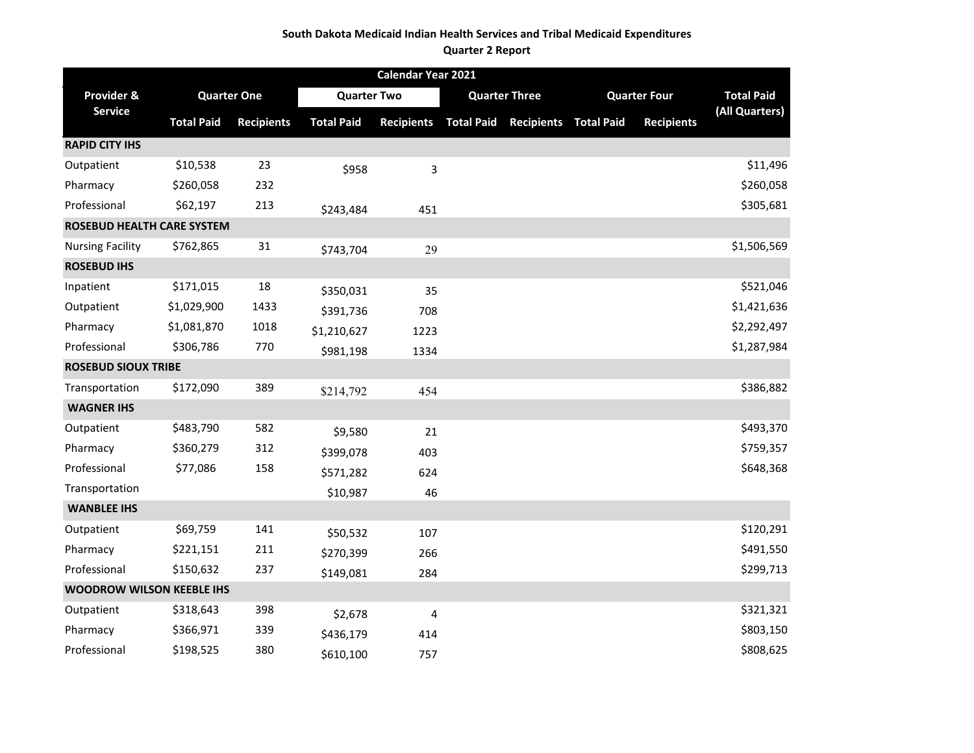### **South Dakota Medicaid Indian Health Services and Tribal Medicaid Expenditures**

#### **Quarter 2 Report**

|                                  |                   |                    |                    | Calendar Year 2021      |                              |                   |                     |                   |
|----------------------------------|-------------------|--------------------|--------------------|-------------------------|------------------------------|-------------------|---------------------|-------------------|
| Provider &                       |                   | <b>Quarter One</b> | <b>Quarter Two</b> |                         | <b>Quarter Three</b>         |                   | <b>Quarter Four</b> | <b>Total Paid</b> |
| <b>Service</b>                   | <b>Total Paid</b> | <b>Recipients</b>  | <b>Total Paid</b>  | <b>Recipients</b>       | <b>Total Paid Recipients</b> | <b>Total Paid</b> | <b>Recipients</b>   | (All Quarters)    |
| <b>RAPID CITY IHS</b>            |                   |                    |                    |                         |                              |                   |                     |                   |
| Outpatient                       | \$10,538          | 23                 | \$958              | 3                       |                              |                   |                     | \$11,496          |
| Pharmacy                         | \$260,058         | 232                |                    |                         |                              |                   |                     | \$260,058         |
| Professional                     | \$62,197          | 213                | \$243,484          | 451                     |                              |                   |                     | \$305,681         |
| ROSEBUD HEALTH CARE SYSTEM       |                   |                    |                    |                         |                              |                   |                     |                   |
| <b>Nursing Facility</b>          | \$762,865         | 31                 | \$743,704          | 29                      |                              |                   |                     | \$1,506,569       |
| <b>ROSEBUD IHS</b>               |                   |                    |                    |                         |                              |                   |                     |                   |
| Inpatient                        | \$171,015         | 18                 | \$350,031          | 35                      |                              |                   |                     | \$521,046         |
| Outpatient                       | \$1,029,900       | 1433               | \$391,736          | 708                     |                              |                   |                     | \$1,421,636       |
| Pharmacy                         | \$1,081,870       | 1018               | \$1,210,627        | 1223                    |                              |                   |                     | \$2,292,497       |
| Professional                     | \$306,786         | 770                | \$981,198          | 1334                    |                              |                   |                     | \$1,287,984       |
| <b>ROSEBUD SIOUX TRIBE</b>       |                   |                    |                    |                         |                              |                   |                     |                   |
| Transportation                   | \$172,090         | 389                | \$214,792          | 454                     |                              |                   |                     | \$386,882         |
| <b>WAGNER IHS</b>                |                   |                    |                    |                         |                              |                   |                     |                   |
| Outpatient                       | \$483,790         | 582                | \$9,580            | 21                      |                              |                   |                     | \$493,370         |
| Pharmacy                         | \$360,279         | 312                | \$399,078          | 403                     |                              |                   |                     | \$759,357         |
| Professional                     | \$77,086          | 158                | \$571,282          | 624                     |                              |                   |                     | \$648,368         |
| Transportation                   |                   |                    | \$10,987           | 46                      |                              |                   |                     |                   |
| <b>WANBLEE IHS</b>               |                   |                    |                    |                         |                              |                   |                     |                   |
| Outpatient                       | \$69,759          | 141                | \$50,532           | 107                     |                              |                   |                     | \$120,291         |
| Pharmacy                         | \$221,151         | 211                | \$270,399          | 266                     |                              |                   |                     | \$491,550         |
| Professional                     | \$150,632         | 237                | \$149,081          | 284                     |                              |                   |                     | \$299,713         |
| <b>WOODROW WILSON KEEBLE IHS</b> |                   |                    |                    |                         |                              |                   |                     |                   |
| Outpatient                       | \$318,643         | 398                | \$2,678            | $\overline{\mathbf{4}}$ |                              |                   |                     | \$321,321         |
| Pharmacy                         | \$366,971         | 339                | \$436,179          | 414                     |                              |                   |                     | \$803,150         |
| Professional                     | \$198,525         | 380                | \$610,100          | 757                     |                              |                   |                     | \$808,625         |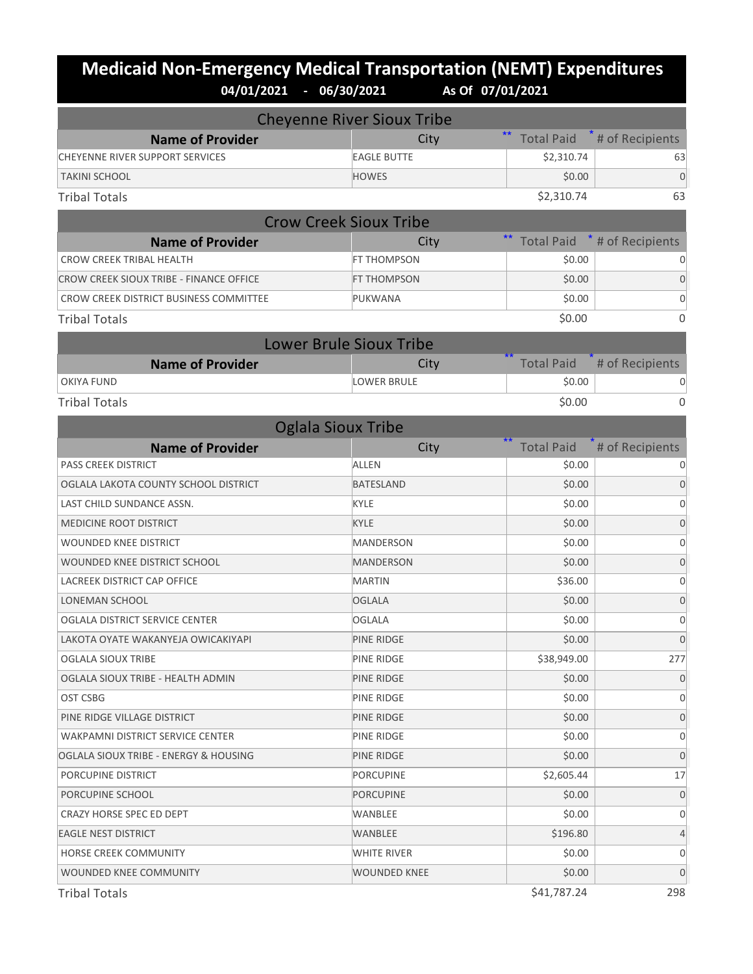# **Medicaid Non-Emergency Medical Transportation (NEMT) Expenditures**<br>04/01/2021 - 06/30/2021 As of 07/01/2021 **04/01/2021 - 06/30/2021 As Of 07/01/2021**

|                                         | <b>Cheyenne River Sioux Tribe</b> |                            |                 |
|-----------------------------------------|-----------------------------------|----------------------------|-----------------|
| <b>Name of Provider</b>                 | City                              | $***$<br><b>Total Paid</b> | # of Recipients |
| <b>CHEYENNE RIVER SUPPORT SERVICES</b>  | <b>EAGLE BUTTE</b>                | \$2,310.74                 | 63              |
| <b>TAKINI SCHOOL</b>                    | <b>HOWES</b>                      | \$0.00                     | $\overline{0}$  |
| <b>Tribal Totals</b>                    |                                   | \$2,310.74                 | 63              |
|                                         | <b>Crow Creek Sioux Tribe</b>     |                            |                 |
| <b>Name of Provider</b>                 | City                              | <b>Total Paid</b>          | # of Recipients |
| <b>CROW CREEK TRIBAL HEALTH</b>         | FT THOMPSON                       | \$0.00                     | 0               |
| CROW CREEK SIOUX TRIBE - FINANCE OFFICE | FT THOMPSON                       | \$0.00                     | $\overline{0}$  |
| CROW CREEK DISTRICT BUSINESS COMMITTEE  | PUKWANA                           | \$0.00                     | $\mathbf 0$     |
| <b>Tribal Totals</b>                    |                                   | \$0.00                     | 0               |
|                                         | <b>Lower Brule Sioux Tribe</b>    |                            |                 |
| <b>Name of Provider</b>                 | City                              | <b>Total Paid</b>          | # of Recipients |
| <b>OKIYA FUND</b>                       | <b>LOWER BRULE</b>                | \$0.00                     | 0               |
| <b>Tribal Totals</b>                    |                                   | \$0.00                     | $\mathbf{0}$    |
| <b>Oglala Sioux Tribe</b>               |                                   |                            |                 |
| <b>Name of Provider</b>                 | City                              | <b>Total Paid</b>          | # of Recipients |
| <b>PASS CREEK DISTRICT</b>              | <b>ALLEN</b>                      | \$0.00                     | 0               |
| OGLALA LAKOTA COUNTY SCHOOL DISTRICT    | <b>BATESLAND</b>                  | \$0.00                     | 0               |
| LAST CHILD SUNDANCE ASSN.               | <b>KYLE</b>                       | \$0.00                     | $\mathbf 0$     |
| MEDICINE ROOT DISTRICT                  | <b>KYLE</b>                       | \$0.00                     | 0               |
| WOUNDED KNEE DISTRICT                   | <b>MANDERSON</b>                  | \$0.00                     | 0               |
| WOUNDED KNEE DISTRICT SCHOOL            | <b>MANDERSON</b>                  | \$0.00                     | 0               |
| LACREEK DISTRICT CAP OFFICE             | <b>MARTIN</b>                     | \$36.00                    | 0               |
| LONEMAN SCHOOL                          | <b>OGLALA</b>                     | \$0.00                     | $\overline{0}$  |
| OGLALA DISTRICT SERVICE CENTER          | <b>OGLALA</b>                     | \$0.00                     | 0               |
| LAKOTA OYATE WAKANYEJA OWICAKIYAPI      | <b>PINE RIDGE</b>                 | \$0.00                     | $\mathbf 0$     |
| OGLALA SIOUX TRIBE                      | PINE RIDGE                        | \$38,949.00                | 277             |
| OGLALA SIOUX TRIBE - HEALTH ADMIN       | PINE RIDGE                        | \$0.00                     | $\mathbf 0$     |
| OST CSBG                                | PINE RIDGE                        | \$0.00                     | 0               |
| PINE RIDGE VILLAGE DISTRICT             | PINE RIDGE                        | \$0.00                     | $\mathbf 0$     |
| WAKPAMNI DISTRICT SERVICE CENTER        | PINE RIDGE                        | \$0.00                     | 0               |
| OGLALA SIOUX TRIBE - ENERGY & HOUSING   | PINE RIDGE                        | \$0.00                     | $\mathbf 0$     |
| PORCUPINE DISTRICT                      | PORCUPINE                         | \$2,605.44                 | 17              |
| PORCUPINE SCHOOL                        | <b>PORCUPINE</b>                  | \$0.00                     | $\mathbf 0$     |
| CRAZY HORSE SPEC ED DEPT                | WANBLEE                           | \$0.00                     | 0               |
| <b>EAGLE NEST DISTRICT</b>              | WANBLEE                           | \$196.80                   | 4               |
| HORSE CREEK COMMUNITY                   | WHITE RIVER                       | \$0.00                     | 0               |
| WOUNDED KNEE COMMUNITY                  | <b>WOUNDED KNEE</b>               | \$0.00                     | $\mathbf 0$     |

Tribal Totals \$41,787.24 298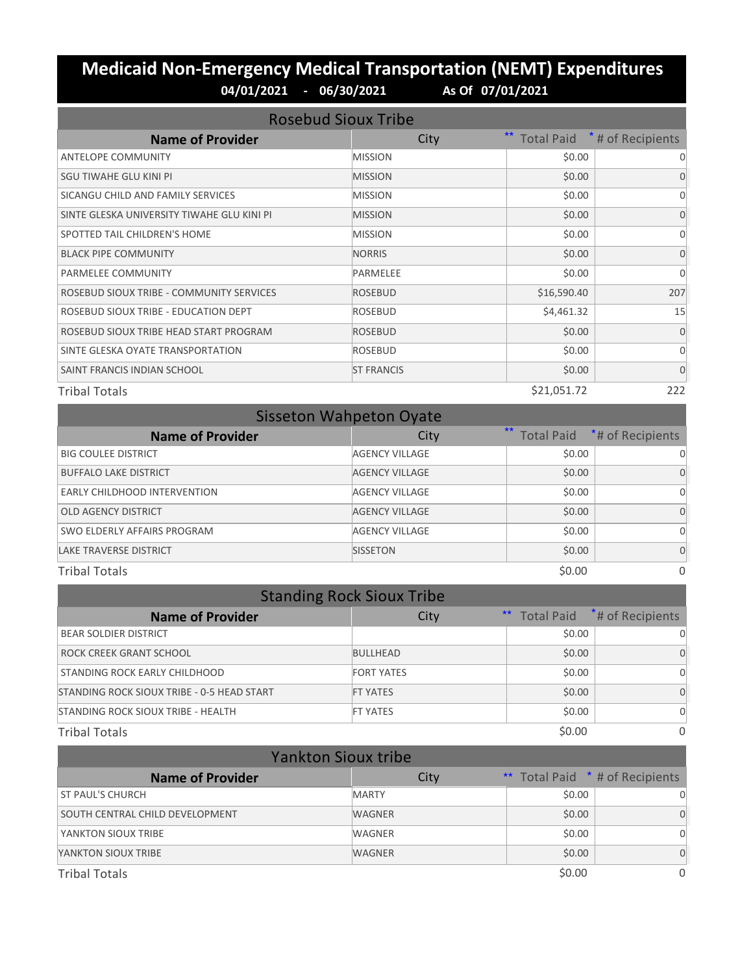## **Medicaid Non-Emergency Medical Transportation (NEMT) Expenditures 04/01/2021 - 06/30/2021 As Of 07/01/2021**

| <b>Rosebud Sioux Tribe</b>                 |                   |                   |                     |
|--------------------------------------------|-------------------|-------------------|---------------------|
| <b>Name of Provider</b>                    | City              | <b>Total Paid</b> | $*$ # of Recipients |
| <b>ANTELOPE COMMUNITY</b>                  | <b>MISSION</b>    | \$0.00            | 0                   |
| SGU TIWAHE GLU KINI PI                     | <b>MISSION</b>    | \$0.00            | $\Omega$            |
| SICANGU CHILD AND FAMILY SERVICES          | <b>MISSION</b>    | \$0.00            | $\Omega$            |
| SINTE GLESKA UNIVERSITY TIWAHE GLU KINI PI | <b>MISSION</b>    | \$0.00            | $\Omega$            |
| SPOTTED TAIL CHILDREN'S HOME               | <b>MISSION</b>    | \$0.00            | $\Omega$            |
| <b>BLACK PIPE COMMUNITY</b>                | <b>NORRIS</b>     | \$0.00            | $\Omega$            |
| PARMELEE COMMUNITY                         | PARMELEE          | \$0.00            | $\Omega$            |
| ROSEBUD SIOUX TRIBE - COMMUNITY SERVICES   | <b>ROSEBUD</b>    | \$16,590.40       | 207                 |
| ROSEBUD SIOUX TRIBE - EDUCATION DEPT       | <b>ROSEBUD</b>    | \$4,461.32        | 15                  |
| ROSEBUD SIOUX TRIBE HEAD START PROGRAM     | <b>ROSEBUD</b>    | \$0.00            | $\Omega$            |
| SINTE GLESKA OYATE TRANSPORTATION          | <b>ROSEBUD</b>    | \$0.00            | $\Omega$            |
| SAINT FRANCIS INDIAN SCHOOL                | <b>ST FRANCIS</b> | \$0.00            | $\Omega$            |
| <b>Tribal Totals</b>                       |                   | \$21,051.72       | 222                 |

|                               | <b>Sisseton Wahpeton Oyate</b> |        |                             |
|-------------------------------|--------------------------------|--------|-----------------------------|
| <b>Name of Provider</b>       | City                           | $**$   | Total Paid *# of Recipients |
| <b>BIG COULEE DISTRICT</b>    | <b>AGENCY VILLAGE</b>          | \$0.00 |                             |
| <b>BUFFALO LAKE DISTRICT</b>  | <b>AGENCY VILLAGE</b>          | \$0.00 | $\Omega$                    |
| EARLY CHILDHOOD INTERVENTION  | <b>AGENCY VILLAGE</b>          | \$0.00 | 0                           |
| <b>OLD AGENCY DISTRICT</b>    | <b>AGENCY VILLAGE</b>          | \$0.00 | $\Omega$                    |
| SWO ELDERLY AFFAIRS PROGRAM   | <b>AGENCY VILLAGE</b>          | \$0.00 |                             |
| <b>LAKE TRAVERSE DISTRICT</b> | <b>SISSETON</b>                | \$0.00 | $\Omega$                    |
| <b>Tribal Totals</b>          |                                | \$0.00 | 0                           |

|                                            | <b>Standing Rock Sioux Tribe</b> |        |                                |
|--------------------------------------------|----------------------------------|--------|--------------------------------|
| <b>Name of Provider</b>                    | City                             |        | ** Total Paid *# of Recipients |
| <b>BEAR SOLDIER DISTRICT</b>               |                                  | \$0.00 | $\Omega$                       |
| ROCK CREEK GRANT SCHOOL                    | <b>BULLHEAD</b>                  | \$0.00 | $\Omega$                       |
| STANDING ROCK EARLY CHILDHOOD              | <b>FORT YATES</b>                | \$0.00 | $\Omega$                       |
| STANDING ROCK SIOUX TRIBE - 0-5 HEAD START | <b>FT YATES</b>                  | \$0.00 | $\Omega$                       |
| <b>STANDING ROCK SIOUX TRIBE - HEALTH</b>  | <b>FT YATES</b>                  | \$0.00 | $\Omega$                       |
| <b>Tribal Totals</b>                       |                                  | \$0.00 | $\Omega$                       |

| <b>Yankton Sioux tribe</b>      |               |                                        |          |
|---------------------------------|---------------|----------------------------------------|----------|
| <b>Name of Provider</b>         | City          | <b>**</b> Total Paid * # of Recipients |          |
| <b>ST PAUL'S CHURCH</b>         | <b>MARTY</b>  | \$0.00                                 | $\Omega$ |
| SOUTH CENTRAL CHILD DEVELOPMENT | <b>WAGNER</b> | \$0.00                                 | 0        |
| YANKTON SIOUX TRIBE             | <b>WAGNER</b> | \$0.00                                 | 0        |
| YANKTON SIOUX TRIBE             | <b>WAGNER</b> | \$0.00                                 | 0        |
| <b>Tribal Totals</b>            |               | \$0.00                                 | $\Omega$ |